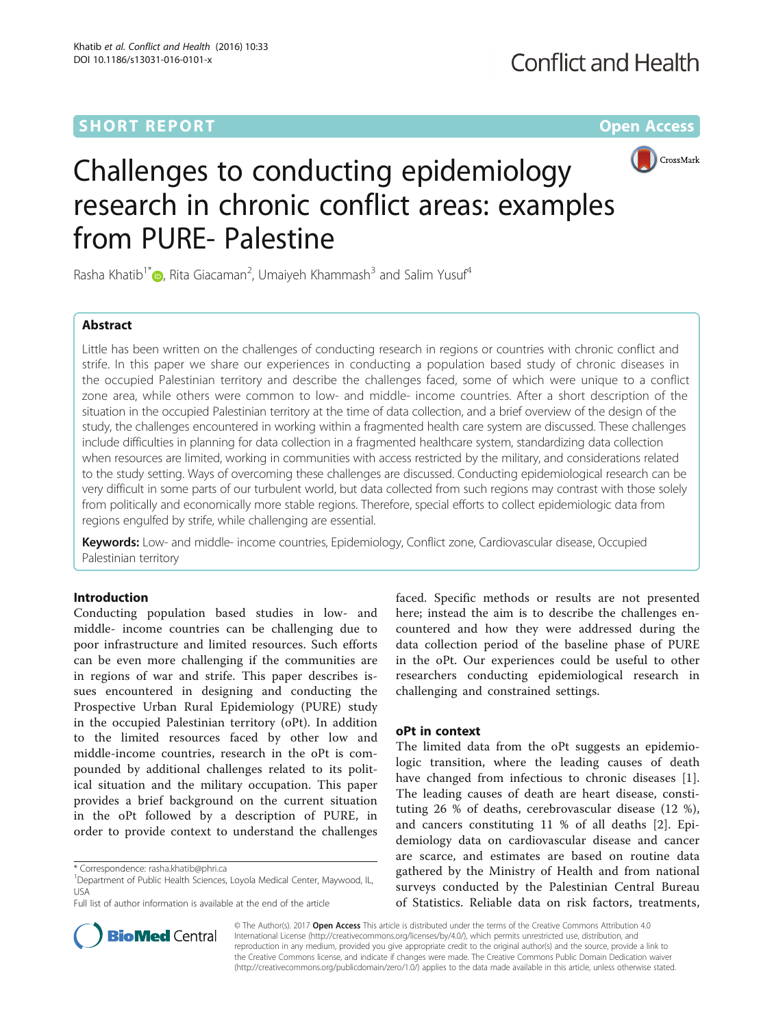# **SHORT REPORT CONTRACT CONTRACT CONTRACT CONTRACT CONTRACT CONTRACT CONTRACT CONTRACT CONTRACT CONTRACT CONTRACT CONTRACT CONTRACT CONTRACT CONTRACT CONTRACT CONTRACT CONTRACT CONTRACT CONTRACT CONTRACT CONTRACT CONTRACT C**



# Challenges to conducting epidemiology research in chronic conflict areas: examples from PURE- Palestine

Rasha Khatib<sup>1\*</sup> $\bullet$ [,](http://orcid.org/0000-0002-8046-9559) Rita Giacaman<sup>2</sup>, Umaiyeh Khammash<sup>3</sup> and Salim Yusuf<sup>4</sup>

## Abstract

Little has been written on the challenges of conducting research in regions or countries with chronic conflict and strife. In this paper we share our experiences in conducting a population based study of chronic diseases in the occupied Palestinian territory and describe the challenges faced, some of which were unique to a conflict zone area, while others were common to low- and middle- income countries. After a short description of the situation in the occupied Palestinian territory at the time of data collection, and a brief overview of the design of the study, the challenges encountered in working within a fragmented health care system are discussed. These challenges include difficulties in planning for data collection in a fragmented healthcare system, standardizing data collection when resources are limited, working in communities with access restricted by the military, and considerations related to the study setting. Ways of overcoming these challenges are discussed. Conducting epidemiological research can be very difficult in some parts of our turbulent world, but data collected from such regions may contrast with those solely from politically and economically more stable regions. Therefore, special efforts to collect epidemiologic data from regions engulfed by strife, while challenging are essential.

Keywords: Low- and middle- income countries, Epidemiology, Conflict zone, Cardiovascular disease, Occupied Palestinian territory

## Introduction

Conducting population based studies in low- and middle- income countries can be challenging due to poor infrastructure and limited resources. Such efforts can be even more challenging if the communities are in regions of war and strife. This paper describes issues encountered in designing and conducting the Prospective Urban Rural Epidemiology (PURE) study in the occupied Palestinian territory (oPt). In addition to the limited resources faced by other low and middle-income countries, research in the oPt is compounded by additional challenges related to its political situation and the military occupation. This paper provides a brief background on the current situation in the oPt followed by a description of PURE, in order to provide context to understand the challenges

faced. Specific methods or results are not presented here; instead the aim is to describe the challenges encountered and how they were addressed during the data collection period of the baseline phase of PURE in the oPt. Our experiences could be useful to other researchers conducting epidemiological research in challenging and constrained settings.

## oPt in context

The limited data from the oPt suggests an epidemiologic transition, where the leading causes of death have changed from infectious to chronic diseases [\[1](#page-5-0)]. The leading causes of death are heart disease, constituting 26 % of deaths, cerebrovascular disease (12 %), and cancers constituting 11 % of all deaths [[2\]](#page-5-0). Epidemiology data on cardiovascular disease and cancer are scarce, and estimates are based on routine data gathered by the Ministry of Health and from national surveys conducted by the Palestinian Central Bureau of Statistics. Reliable data on risk factors, treatments,



© The Author(s). 2017 Open Access This article is distributed under the terms of the Creative Commons Attribution 4.0 International License [\(http://creativecommons.org/licenses/by/4.0/](http://creativecommons.org/licenses/by/4.0/)), which permits unrestricted use, distribution, and reproduction in any medium, provided you give appropriate credit to the original author(s) and the source, provide a link to the Creative Commons license, and indicate if changes were made. The Creative Commons Public Domain Dedication waiver [\(http://creativecommons.org/publicdomain/zero/1.0/](http://creativecommons.org/publicdomain/zero/1.0/)) applies to the data made available in this article, unless otherwise stated.

<sup>\*</sup> Correspondence: [rasha.khatib@phri.ca](mailto:rasha.khatib@phri.ca) <sup>1</sup>

<sup>&</sup>lt;sup>1</sup>Department of Public Health Sciences, Loyola Medical Center, Maywood, IL, USA

Full list of author information is available at the end of the article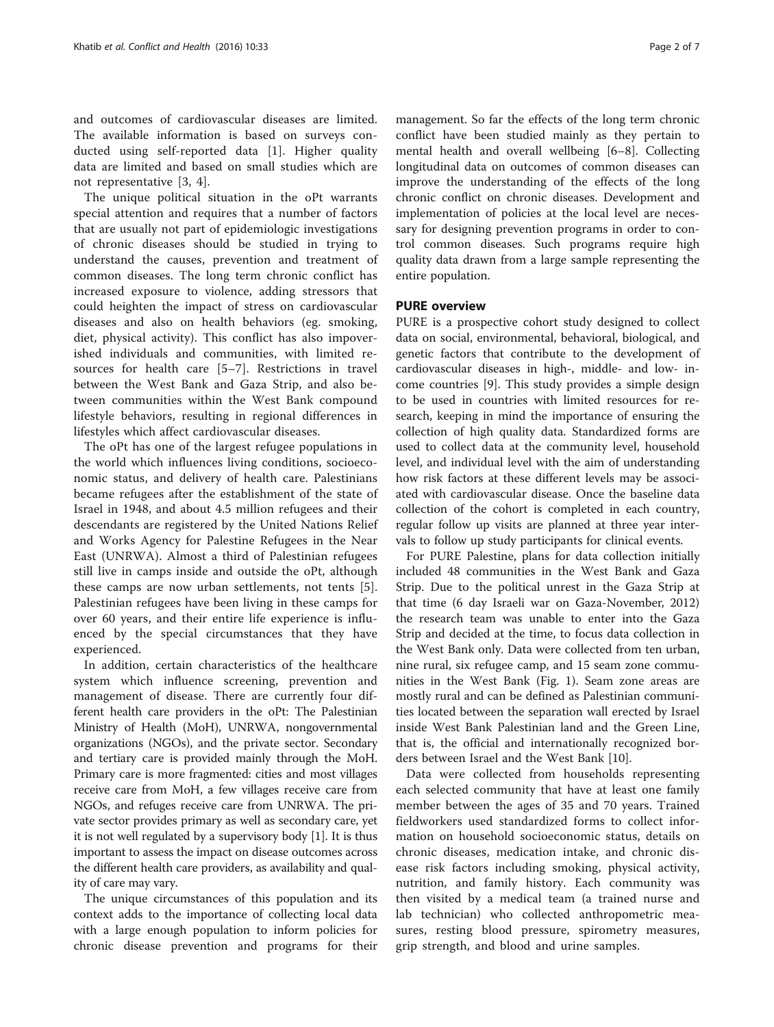and outcomes of cardiovascular diseases are limited. The available information is based on surveys conducted using self-reported data [\[1](#page-5-0)]. Higher quality data are limited and based on small studies which are not representative [\[3](#page-5-0), [4](#page-5-0)].

The unique political situation in the oPt warrants special attention and requires that a number of factors that are usually not part of epidemiologic investigations of chronic diseases should be studied in trying to understand the causes, prevention and treatment of common diseases. The long term chronic conflict has increased exposure to violence, adding stressors that could heighten the impact of stress on cardiovascular diseases and also on health behaviors (eg. smoking, diet, physical activity). This conflict has also impoverished individuals and communities, with limited resources for health care [\[5](#page-5-0)–[7](#page-6-0)]. Restrictions in travel between the West Bank and Gaza Strip, and also between communities within the West Bank compound lifestyle behaviors, resulting in regional differences in lifestyles which affect cardiovascular diseases.

The oPt has one of the largest refugee populations in the world which influences living conditions, socioeconomic status, and delivery of health care. Palestinians became refugees after the establishment of the state of Israel in 1948, and about 4.5 million refugees and their descendants are registered by the United Nations Relief and Works Agency for Palestine Refugees in the Near East (UNRWA). Almost a third of Palestinian refugees still live in camps inside and outside the oPt, although these camps are now urban settlements, not tents [\[5](#page-5-0)]. Palestinian refugees have been living in these camps for over 60 years, and their entire life experience is influenced by the special circumstances that they have experienced.

In addition, certain characteristics of the healthcare system which influence screening, prevention and management of disease. There are currently four different health care providers in the oPt: The Palestinian Ministry of Health (MoH), UNRWA, nongovernmental organizations (NGOs), and the private sector. Secondary and tertiary care is provided mainly through the MoH. Primary care is more fragmented: cities and most villages receive care from MoH, a few villages receive care from NGOs, and refuges receive care from UNRWA. The private sector provides primary as well as secondary care, yet it is not well regulated by a supervisory body [\[1](#page-5-0)]. It is thus important to assess the impact on disease outcomes across the different health care providers, as availability and quality of care may vary.

The unique circumstances of this population and its context adds to the importance of collecting local data with a large enough population to inform policies for chronic disease prevention and programs for their management. So far the effects of the long term chronic conflict have been studied mainly as they pertain to mental health and overall wellbeing [\[6](#page-5-0)–[8\]](#page-6-0). Collecting longitudinal data on outcomes of common diseases can improve the understanding of the effects of the long chronic conflict on chronic diseases. Development and implementation of policies at the local level are necessary for designing prevention programs in order to control common diseases. Such programs require high quality data drawn from a large sample representing the entire population.

#### PURE overview

PURE is a prospective cohort study designed to collect data on social, environmental, behavioral, biological, and genetic factors that contribute to the development of cardiovascular diseases in high-, middle- and low- income countries [\[9\]](#page-6-0). This study provides a simple design to be used in countries with limited resources for research, keeping in mind the importance of ensuring the collection of high quality data. Standardized forms are used to collect data at the community level, household level, and individual level with the aim of understanding how risk factors at these different levels may be associated with cardiovascular disease. Once the baseline data collection of the cohort is completed in each country, regular follow up visits are planned at three year intervals to follow up study participants for clinical events.

For PURE Palestine, plans for data collection initially included 48 communities in the West Bank and Gaza Strip. Due to the political unrest in the Gaza Strip at that time (6 day Israeli war on Gaza-November, 2012) the research team was unable to enter into the Gaza Strip and decided at the time, to focus data collection in the West Bank only. Data were collected from ten urban, nine rural, six refugee camp, and 15 seam zone communities in the West Bank (Fig. [1](#page-2-0)). Seam zone areas are mostly rural and can be defined as Palestinian communities located between the separation wall erected by Israel inside West Bank Palestinian land and the Green Line, that is, the official and internationally recognized borders between Israel and the West Bank [\[10](#page-6-0)].

Data were collected from households representing each selected community that have at least one family member between the ages of 35 and 70 years. Trained fieldworkers used standardized forms to collect information on household socioeconomic status, details on chronic diseases, medication intake, and chronic disease risk factors including smoking, physical activity, nutrition, and family history. Each community was then visited by a medical team (a trained nurse and lab technician) who collected anthropometric measures, resting blood pressure, spirometry measures, grip strength, and blood and urine samples.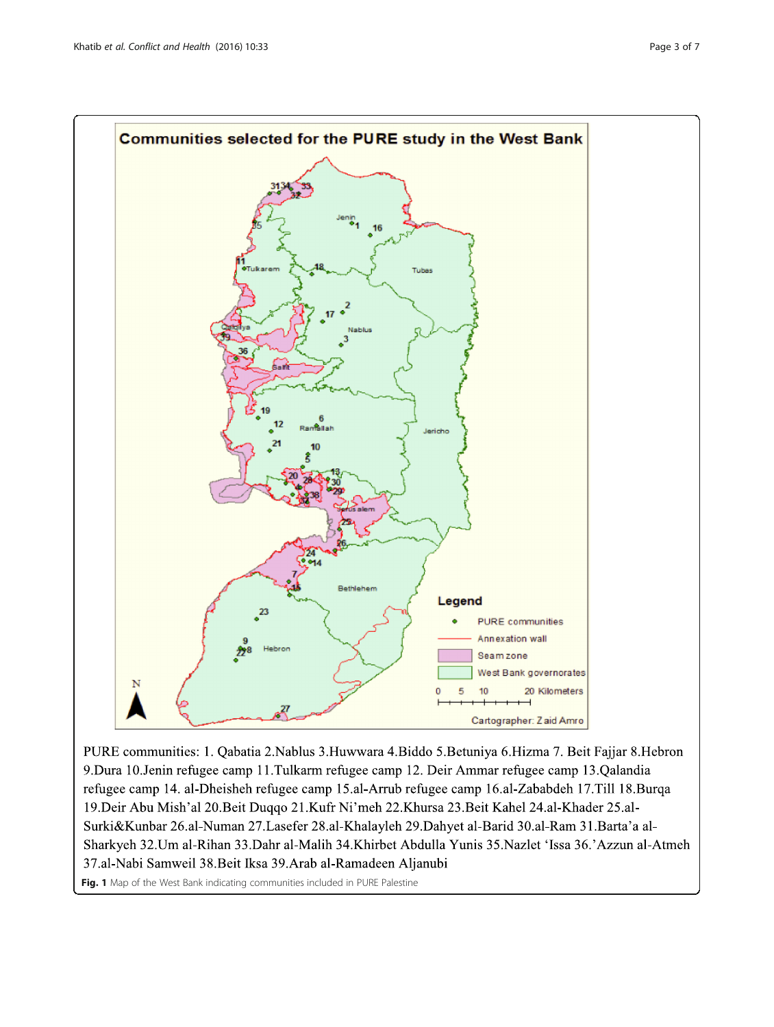<span id="page-2-0"></span>

PURE communities: 1. Qabatia 2. Nablus 3. Huwwara 4. Biddo 5. Betuniya 6. Hizma 7. Beit Fajjar 8. Hebron 9. Dura 10. Jenin refugee camp 11. Tulkarm refugee camp 12. Deir Ammar refugee camp 13. Qalandia refugee camp 14. al-Dheisheh refugee camp 15.al-Arrub refugee camp 16.al-Zababdeh 17.Till 18.Burqa 19. Deir Abu Mish'al 20. Beit Duqqo 21. Kufr Ni'meh 22. Khursa 23. Beit Kahel 24. al-Khader 25. al-Surki&Kunbar 26.al-Numan 27.Lasefer 28.al-Khalayleh 29.Dahyet al-Barid 30.al-Ram 31.Barta'a al-Sharkyeh 32. Um al-Rihan 33. Dahr al-Malih 34. Khirbet Abdulla Yunis 35. Nazlet 'Issa 36. 'Azzun al-Atmeh 37.al-Nabi Samweil 38.Beit Iksa 39.Arab al-Ramadeen Aljanubi

Fig. 1 Map of the West Bank indicating communities included in PURE Palestine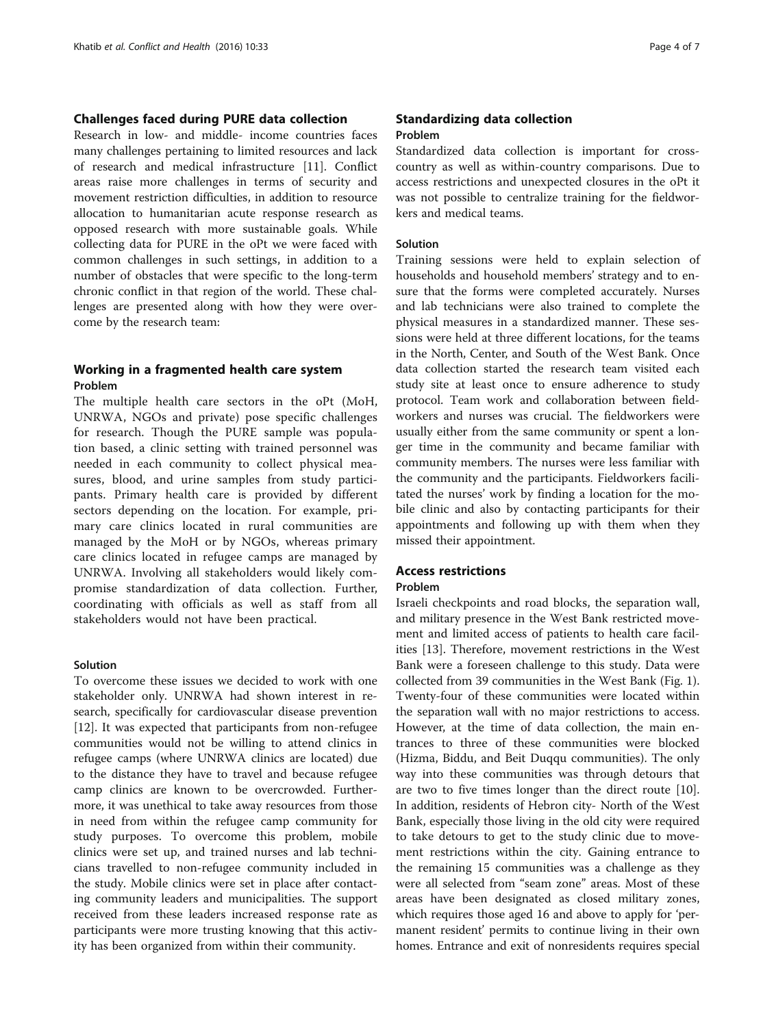## Challenges faced during PURE data collection

Research in low- and middle- income countries faces many challenges pertaining to limited resources and lack of research and medical infrastructure [\[11](#page-6-0)]. Conflict areas raise more challenges in terms of security and movement restriction difficulties, in addition to resource allocation to humanitarian acute response research as opposed research with more sustainable goals. While collecting data for PURE in the oPt we were faced with common challenges in such settings, in addition to a number of obstacles that were specific to the long-term chronic conflict in that region of the world. These challenges are presented along with how they were overcome by the research team:

## Working in a fragmented health care system Problem

The multiple health care sectors in the oPt (MoH, UNRWA, NGOs and private) pose specific challenges for research. Though the PURE sample was population based, a clinic setting with trained personnel was needed in each community to collect physical measures, blood, and urine samples from study participants. Primary health care is provided by different sectors depending on the location. For example, primary care clinics located in rural communities are managed by the MoH or by NGOs, whereas primary care clinics located in refugee camps are managed by UNRWA. Involving all stakeholders would likely compromise standardization of data collection. Further, coordinating with officials as well as staff from all stakeholders would not have been practical.

## Solution

To overcome these issues we decided to work with one stakeholder only. UNRWA had shown interest in research, specifically for cardiovascular disease prevention [[12\]](#page-6-0). It was expected that participants from non-refugee communities would not be willing to attend clinics in refugee camps (where UNRWA clinics are located) due to the distance they have to travel and because refugee camp clinics are known to be overcrowded. Furthermore, it was unethical to take away resources from those in need from within the refugee camp community for study purposes. To overcome this problem, mobile clinics were set up, and trained nurses and lab technicians travelled to non-refugee community included in the study. Mobile clinics were set in place after contacting community leaders and municipalities. The support received from these leaders increased response rate as participants were more trusting knowing that this activity has been organized from within their community.

## Standardizing data collection Problem

Standardized data collection is important for crosscountry as well as within-country comparisons. Due to access restrictions and unexpected closures in the oPt it was not possible to centralize training for the fieldworkers and medical teams.

## Solution

Training sessions were held to explain selection of households and household members' strategy and to ensure that the forms were completed accurately. Nurses and lab technicians were also trained to complete the physical measures in a standardized manner. These sessions were held at three different locations, for the teams in the North, Center, and South of the West Bank. Once data collection started the research team visited each study site at least once to ensure adherence to study protocol. Team work and collaboration between fieldworkers and nurses was crucial. The fieldworkers were usually either from the same community or spent a longer time in the community and became familiar with community members. The nurses were less familiar with the community and the participants. Fieldworkers facilitated the nurses' work by finding a location for the mobile clinic and also by contacting participants for their appointments and following up with them when they missed their appointment.

## Access restrictions

## Problem

Israeli checkpoints and road blocks, the separation wall, and military presence in the West Bank restricted movement and limited access of patients to health care facilities [\[13\]](#page-6-0). Therefore, movement restrictions in the West Bank were a foreseen challenge to this study. Data were collected from 39 communities in the West Bank (Fig. [1](#page-2-0)). Twenty-four of these communities were located within the separation wall with no major restrictions to access. However, at the time of data collection, the main entrances to three of these communities were blocked (Hizma, Biddu, and Beit Duqqu communities). The only way into these communities was through detours that are two to five times longer than the direct route [\[10](#page-6-0)]. In addition, residents of Hebron city- North of the West Bank, especially those living in the old city were required to take detours to get to the study clinic due to movement restrictions within the city. Gaining entrance to the remaining 15 communities was a challenge as they were all selected from "seam zone" areas. Most of these areas have been designated as closed military zones, which requires those aged 16 and above to apply for 'permanent resident' permits to continue living in their own homes. Entrance and exit of nonresidents requires special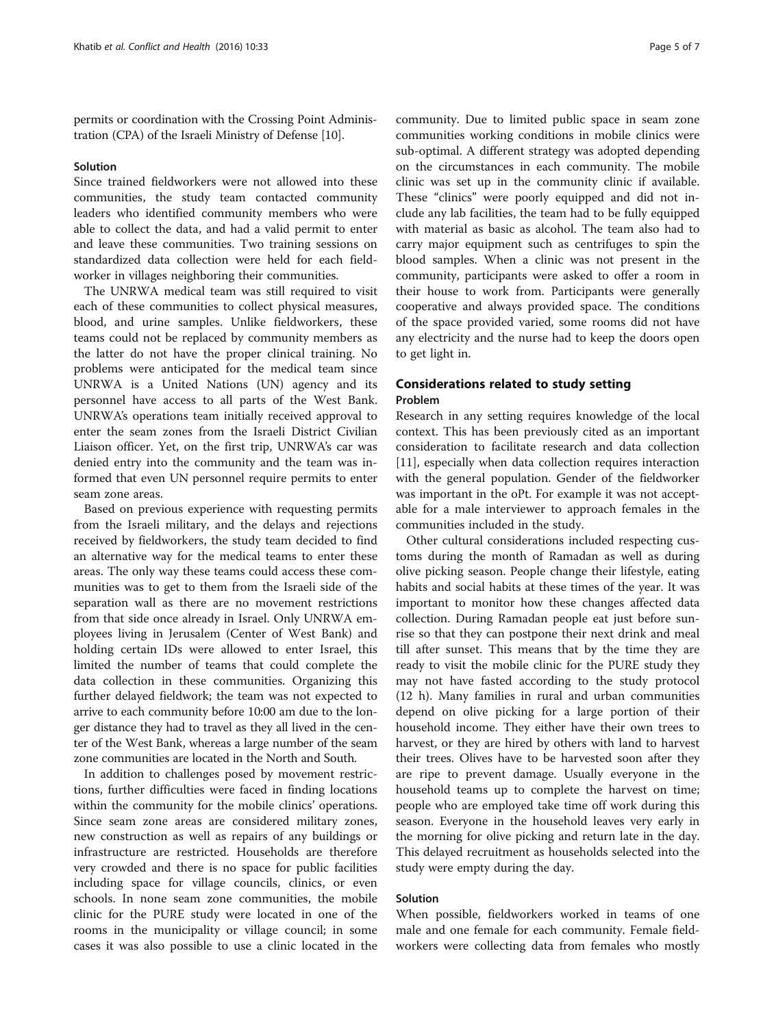permits or coordination with the Crossing Point Administration (CPA) of the Israeli Ministry of Defense [\[10\]](#page-6-0).

#### Solution

Since trained fieldworkers were not allowed into these communities, the study team contacted community leaders who identified community members who were able to collect the data, and had a valid permit to enter and leave these communities. Two training sessions on standardized data collection were held for each fieldworker in villages neighboring their communities.

The UNRWA medical team was still required to visit each of these communities to collect physical measures, blood, and urine samples. Unlike fieldworkers, these teams could not be replaced by community members as the latter do not have the proper clinical training. No problems were anticipated for the medical team since UNRWA is a United Nations (UN) agency and its personnel have access to all parts of the West Bank. UNRWA's operations team initially received approval to enter the seam zones from the Israeli District Civilian Liaison officer. Yet, on the first trip, UNRWA's car was denied entry into the community and the team was informed that even UN personnel require permits to enter seam zone areas.

Based on previous experience with requesting permits from the Israeli military, and the delays and rejections received by fieldworkers, the study team decided to find an alternative way for the medical teams to enter these areas. The only way these teams could access these communities was to get to them from the Israeli side of the separation wall as there are no movement restrictions from that side once already in Israel. Only UNRWA employees living in Jerusalem (Center of West Bank) and holding certain IDs were allowed to enter Israel, this limited the number of teams that could complete the data collection in these communities. Organizing this further delayed fieldwork; the team was not expected to arrive to each community before 10:00 am due to the longer distance they had to travel as they all lived in the center of the West Bank, whereas a large number of the seam zone communities are located in the North and South.

In addition to challenges posed by movement restrictions, further difficulties were faced in finding locations within the community for the mobile clinics' operations. Since seam zone areas are considered military zones, new construction as well as repairs of any buildings or infrastructure are restricted. Households are therefore very crowded and there is no space for public facilities including space for village councils, clinics, or even schools. In none seam zone communities, the mobile clinic for the PURE study were located in one of the rooms in the municipality or village council; in some cases it was also possible to use a clinic located in the community. Due to limited public space in seam zone communities working conditions in mobile clinics were sub-optimal. A different strategy was adopted depending on the circumstances in each community. The mobile clinic was set up in the community clinic if available. These "clinics" were poorly equipped and did not include any lab facilities, the team had to be fully equipped with material as basic as alcohol. The team also had to carry major equipment such as centrifuges to spin the blood samples. When a clinic was not present in the community, participants were asked to offer a room in their house to work from. Participants were generally cooperative and always provided space. The conditions of the space provided varied, some rooms did not have any electricity and the nurse had to keep the doors open to get light in.

## Considerations related to study setting Problem

Research in any setting requires knowledge of the local context. This has been previously cited as an important consideration to facilitate research and data collection [[11\]](#page-6-0), especially when data collection requires interaction with the general population. Gender of the fieldworker was important in the oPt. For example it was not acceptable for a male interviewer to approach females in the communities included in the study.

Other cultural considerations included respecting customs during the month of Ramadan as well as during olive picking season. People change their lifestyle, eating habits and social habits at these times of the year. It was important to monitor how these changes affected data collection. During Ramadan people eat just before sunrise so that they can postpone their next drink and meal till after sunset. This means that by the time they are ready to visit the mobile clinic for the PURE study they may not have fasted according to the study protocol (12 h). Many families in rural and urban communities depend on olive picking for a large portion of their household income. They either have their own trees to harvest, or they are hired by others with land to harvest their trees. Olives have to be harvested soon after they are ripe to prevent damage. Usually everyone in the household teams up to complete the harvest on time; people who are employed take time off work during this season. Everyone in the household leaves very early in the morning for olive picking and return late in the day. This delayed recruitment as households selected into the study were empty during the day.

## Solution

When possible, fieldworkers worked in teams of one male and one female for each community. Female fieldworkers were collecting data from females who mostly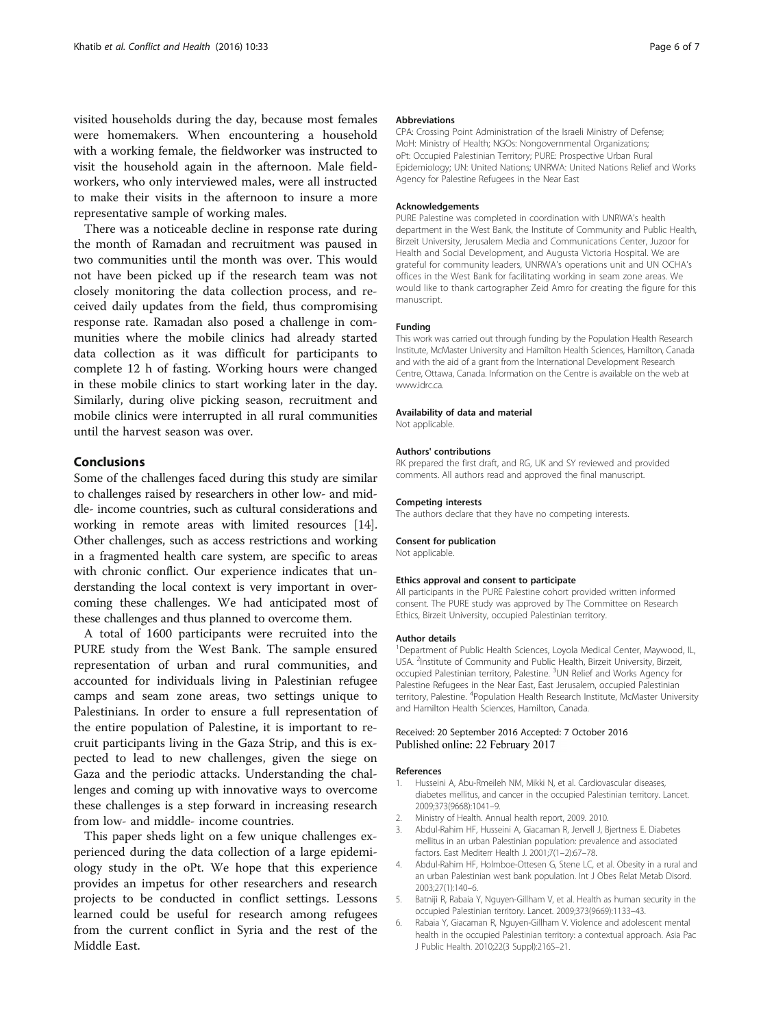<span id="page-5-0"></span>visited households during the day, because most females were homemakers. When encountering a household with a working female, the fieldworker was instructed to visit the household again in the afternoon. Male fieldworkers, who only interviewed males, were all instructed to make their visits in the afternoon to insure a more representative sample of working males.

There was a noticeable decline in response rate during the month of Ramadan and recruitment was paused in two communities until the month was over. This would not have been picked up if the research team was not closely monitoring the data collection process, and received daily updates from the field, thus compromising response rate. Ramadan also posed a challenge in communities where the mobile clinics had already started data collection as it was difficult for participants to complete 12 h of fasting. Working hours were changed in these mobile clinics to start working later in the day. Similarly, during olive picking season, recruitment and mobile clinics were interrupted in all rural communities until the harvest season was over.

## Conclusions

Some of the challenges faced during this study are similar to challenges raised by researchers in other low- and middle- income countries, such as cultural considerations and working in remote areas with limited resources [[14](#page-6-0)]. Other challenges, such as access restrictions and working in a fragmented health care system, are specific to areas with chronic conflict. Our experience indicates that understanding the local context is very important in overcoming these challenges. We had anticipated most of these challenges and thus planned to overcome them.

A total of 1600 participants were recruited into the PURE study from the West Bank. The sample ensured representation of urban and rural communities, and accounted for individuals living in Palestinian refugee camps and seam zone areas, two settings unique to Palestinians. In order to ensure a full representation of the entire population of Palestine, it is important to recruit participants living in the Gaza Strip, and this is expected to lead to new challenges, given the siege on Gaza and the periodic attacks. Understanding the challenges and coming up with innovative ways to overcome these challenges is a step forward in increasing research from low- and middle- income countries.

This paper sheds light on a few unique challenges experienced during the data collection of a large epidemiology study in the oPt. We hope that this experience provides an impetus for other researchers and research projects to be conducted in conflict settings. Lessons learned could be useful for research among refugees from the current conflict in Syria and the rest of the Middle East.

#### Abbreviations

CPA: Crossing Point Administration of the Israeli Ministry of Defense; MoH: Ministry of Health; NGOs: Nongovernmental Organizations; oPt: Occupied Palestinian Territory; PURE: Prospective Urban Rural Epidemiology; UN: United Nations; UNRWA: United Nations Relief and Works Agency for Palestine Refugees in the Near East

#### Acknowledgements

PURE Palestine was completed in coordination with UNRWA's health department in the West Bank, the Institute of Community and Public Health, Birzeit University, Jerusalem Media and Communications Center, Juzoor for Health and Social Development, and Augusta Victoria Hospital. We are grateful for community leaders, UNRWA's operations unit and UN OCHA's offices in the West Bank for facilitating working in seam zone areas. We would like to thank cartographer Zeid Amro for creating the figure for this manuscript.

#### Funding

This work was carried out through funding by the Population Health Research Institute, McMaster University and Hamilton Health Sciences, Hamilton, Canada and with the aid of a grant from the International Development Research Centre, Ottawa, Canada. Information on the Centre is available on the web at [www.idrc.ca](http://www.idrc.ca/).

#### Availability of data and material

Not applicable.

#### Authors' contributions

RK prepared the first draft, and RG, UK and SY reviewed and provided comments. All authors read and approved the final manuscript.

#### Competing interests

The authors declare that they have no competing interests.

#### Consent for publication

Not applicable.

#### Ethics approval and consent to participate

All participants in the PURE Palestine cohort provided written informed consent. The PURE study was approved by The Committee on Research Ethics, Birzeit University, occupied Palestinian territory.

#### Author details

<sup>1</sup>Department of Public Health Sciences, Loyola Medical Center, Maywood, IL USA. <sup>2</sup>Institute of Community and Public Health, Birzeit University, Birzeit, occupied Palestinian territory, Palestine. <sup>3</sup>UN Relief and Works Agency for Palestine Refugees in the Near East, East Jerusalem, occupied Palestinian territory, Palestine. <sup>4</sup> Population Health Research Institute, McMaster University and Hamilton Health Sciences, Hamilton, Canada.

#### Received: 20 September 2016 Accepted: 7 October 2016 Published online: 22 February 2017

#### References

- 1. Husseini A, Abu-Rmeileh NM, Mikki N, et al. Cardiovascular diseases, diabetes mellitus, and cancer in the occupied Palestinian territory. Lancet. 2009;373(9668):1041–9.
- 2. Ministry of Health. Annual health report, 2009. 2010.
- 3. Abdul-Rahim HF, Husseini A, Giacaman R, Jervell J, Bjertness E. Diabetes mellitus in an urban Palestinian population: prevalence and associated factors. East Mediterr Health J. 2001;7(1–2):67–78.
- 4. Abdul-Rahim HF, Holmboe-Ottesen G, Stene LC, et al. Obesity in a rural and an urban Palestinian west bank population. Int J Obes Relat Metab Disord. 2003;27(1):140–6.
- 5. Batniji R, Rabaia Y, Nguyen-Gillham V, et al. Health as human security in the occupied Palestinian territory. Lancet. 2009;373(9669):1133–43.
- 6. Rabaia Y, Giacaman R, Nguyen-Gillham V. Violence and adolescent mental health in the occupied Palestinian territory: a contextual approach. Asia Pac J Public Health. 2010;22(3 Suppl):216S–21.